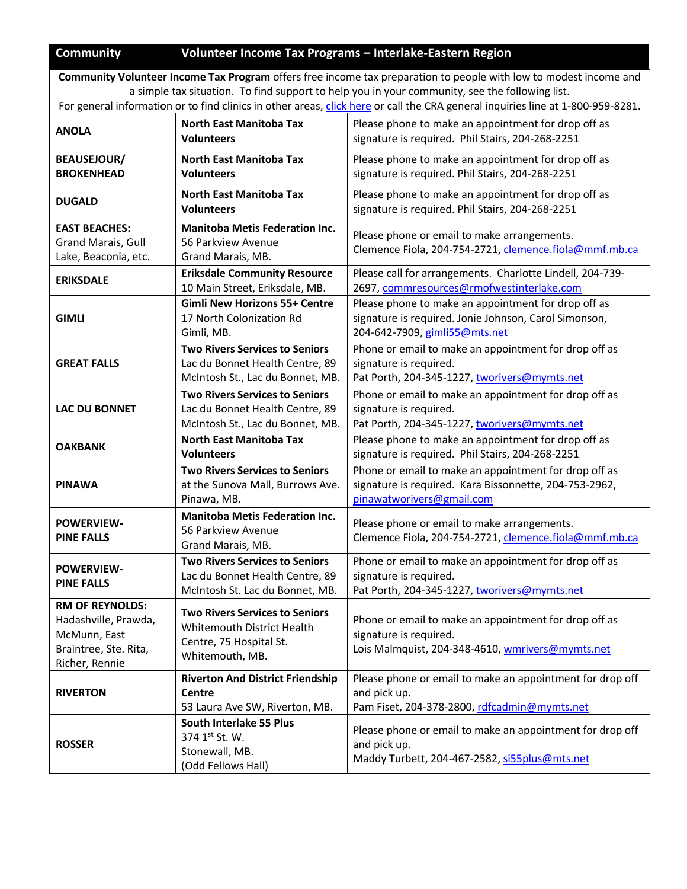## **Community Volunteer Income Tax Programs – Interlake-Eastern Region**

**Community Volunteer Income Tax Program** offers free income tax preparation to people with low to modest income and a simple tax situation. To find support to help you in your community, see the following list. For general information or to find clinics in other areas[, click here](https://www.canada.ca/en/revenue-agency/campaigns/free-tax-help.html?utm_campaign=not-applicable&utm_medium=vanity-url&utm_source=canada-ca_taxes-help) or call the CRA general inquiries line at 1-800-959-8281.

| <b>ANOLA</b>                                                                                              | <b>North East Manitoba Tax</b><br><b>Volunteers</b>                                                               | Please phone to make an appointment for drop off as<br>signature is required. Phil Stairs, 204-268-2251                                       |
|-----------------------------------------------------------------------------------------------------------|-------------------------------------------------------------------------------------------------------------------|-----------------------------------------------------------------------------------------------------------------------------------------------|
| <b>BEAUSEJOUR/</b><br><b>BROKENHEAD</b>                                                                   | <b>North East Manitoba Tax</b><br><b>Volunteers</b>                                                               | Please phone to make an appointment for drop off as<br>signature is required. Phil Stairs, 204-268-2251                                       |
| <b>DUGALD</b>                                                                                             | <b>North East Manitoba Tax</b><br><b>Volunteers</b>                                                               | Please phone to make an appointment for drop off as<br>signature is required. Phil Stairs, 204-268-2251                                       |
| <b>EAST BEACHES:</b><br>Grand Marais, Gull<br>Lake, Beaconia, etc.                                        | <b>Manitoba Metis Federation Inc.</b><br>56 Parkview Avenue<br>Grand Marais, MB.                                  | Please phone or email to make arrangements.<br>Clemence Fiola, 204-754-2721, clemence.fiola@mmf.mb.ca                                         |
| <b>ERIKSDALE</b>                                                                                          | <b>Eriksdale Community Resource</b><br>10 Main Street, Eriksdale, MB.                                             | Please call for arrangements. Charlotte Lindell, 204-739-<br>2697, commresources@rmofwestinterlake.com                                        |
| <b>GIMLI</b>                                                                                              | <b>Gimli New Horizons 55+ Centre</b><br>17 North Colonization Rd<br>Gimli, MB.                                    | Please phone to make an appointment for drop off as<br>signature is required. Jonie Johnson, Carol Simonson,<br>204-642-7909, gimli55@mts.net |
| <b>GREAT FALLS</b>                                                                                        | <b>Two Rivers Services to Seniors</b><br>Lac du Bonnet Health Centre, 89<br>McIntosh St., Lac du Bonnet, MB.      | Phone or email to make an appointment for drop off as<br>signature is required.<br>Pat Porth, 204-345-1227, tworivers@mymts.net               |
| <b>LAC DU BONNET</b>                                                                                      | <b>Two Rivers Services to Seniors</b><br>Lac du Bonnet Health Centre, 89<br>McIntosh St., Lac du Bonnet, MB.      | Phone or email to make an appointment for drop off as<br>signature is required.<br>Pat Porth, 204-345-1227, tworivers@mymts.net               |
| <b>OAKBANK</b>                                                                                            | <b>North East Manitoba Tax</b><br><b>Volunteers</b>                                                               | Please phone to make an appointment for drop off as<br>signature is required. Phil Stairs, 204-268-2251                                       |
| <b>PINAWA</b>                                                                                             | <b>Two Rivers Services to Seniors</b><br>at the Sunova Mall, Burrows Ave.<br>Pinawa, MB.                          | Phone or email to make an appointment for drop off as<br>signature is required. Kara Bissonnette, 204-753-2962,<br>pinawatworivers@gmail.com  |
| <b>POWERVIEW-</b><br><b>PINE FALLS</b>                                                                    | <b>Manitoba Metis Federation Inc.</b><br>56 Parkview Avenue<br>Grand Marais, MB.                                  | Please phone or email to make arrangements.<br>Clemence Fiola, 204-754-2721, clemence.fiola@mmf.mb.ca                                         |
| <b>POWERVIEW-</b><br><b>PINE FALLS</b>                                                                    | <b>Two Rivers Services to Seniors</b><br>Lac du Bonnet Health Centre, 89<br>McIntosh St. Lac du Bonnet, MB.       | Phone or email to make an appointment for drop off as<br>signature is required.<br>Pat Porth, 204-345-1227, tworivers@mymts.net               |
| <b>RM OF REYNOLDS:</b><br>Hadashville, Prawda,<br>McMunn, East<br>Braintree, Ste. Rita,<br>Richer, Rennie | <b>Two Rivers Services to Seniors</b><br>Whitemouth District Health<br>Centre, 75 Hospital St.<br>Whitemouth, MB. | Phone or email to make an appointment for drop off as<br>signature is required.<br>Lois Malmquist, 204-348-4610, wmrivers@mymts.net           |
| <b>RIVERTON</b>                                                                                           | <b>Riverton And District Friendship</b><br>Centre<br>53 Laura Ave SW, Riverton, MB.                               | Please phone or email to make an appointment for drop off<br>and pick up.<br>Pam Fiset, 204-378-2800, rdfcadmin@mymts.net                     |
| <b>ROSSER</b>                                                                                             | South Interlake 55 Plus<br>374 1st St. W.<br>Stonewall, MB.<br>(Odd Fellows Hall)                                 | Please phone or email to make an appointment for drop off<br>and pick up.<br>Maddy Turbett, 204-467-2582, si55plus@mts.net                    |